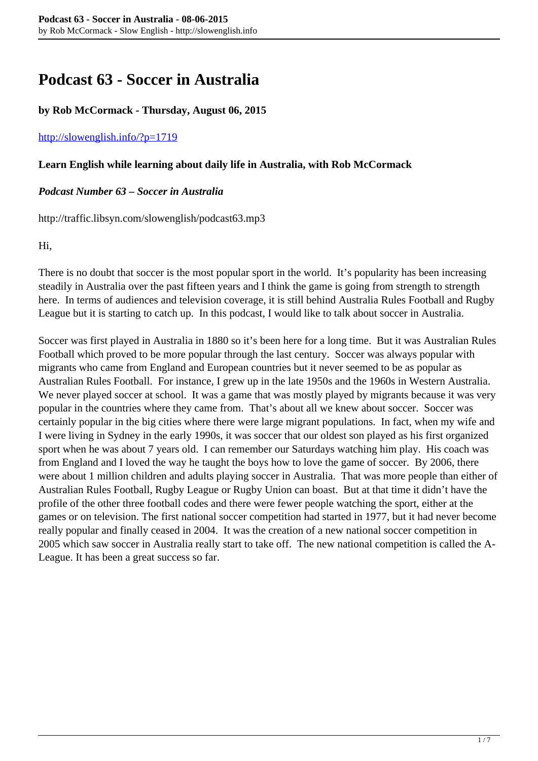# **Podcast 63 - Soccer in Australia**

## **by Rob McCormack - Thursday, August 06, 2015**

#### <http://slowenglish.info/?p=1719>

#### **Learn English while learning about daily life in Australia, with Rob McCormack**

# *Podcast Number 63 – Soccer in Australia*

http://traffic.libsyn.com/slowenglish/podcast63.mp3

Hi,

There is no doubt that soccer is the most popular sport in the world. It's popularity has been increasing steadily in Australia over the past fifteen years and I think the game is going from strength to strength here. In terms of audiences and television coverage, it is still behind Australia Rules Football and Rugby League but it is starting to catch up. In this podcast, I would like to talk about soccer in Australia.

Soccer was first played in Australia in 1880 so it's been here for a long time. But it was Australian Rules Football which proved to be more popular through the last century. Soccer was always popular with migrants who came from England and European countries but it never seemed to be as popular as Australian Rules Football. For instance, I grew up in the late 1950s and the 1960s in Western Australia. We never played soccer at school. It was a game that was mostly played by migrants because it was very popular in the countries where they came from. That's about all we knew about soccer. Soccer was certainly popular in the big cities where there were large migrant populations. In fact, when my wife and I were living in Sydney in the early 1990s, it was soccer that our oldest son played as his first organized sport when he was about 7 years old. I can remember our Saturdays watching him play. His coach was from England and I loved the way he taught the boys how to love the game of soccer. By 2006, there were about 1 million children and adults playing soccer in Australia. That was more people than either of Australian Rules Football, Rugby League or Rugby Union can boast. But at that time it didn't have the profile of the other three football codes and there were fewer people watching the sport, either at the games or on television. The first national soccer competition had started in 1977, but it had never become really popular and finally ceased in 2004. It was the creation of a new national soccer competition in 2005 which saw soccer in Australia really start to take off. The new national competition is called the A-League. It has been a great success so far.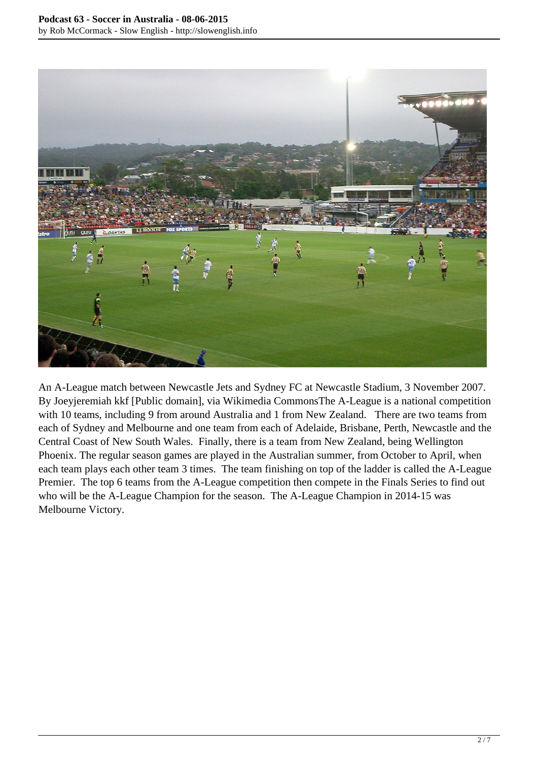

An A-League match between Newcastle Jets and Sydney FC at Newcastle Stadium, 3 November 2007. By Joeyjeremiah kkf [Public domain], via Wikimedia CommonsThe A-League is a national competition with 10 teams, including 9 from around Australia and 1 from New Zealand. There are two teams from each of Sydney and Melbourne and one team from each of Adelaide, Brisbane, Perth, Newcastle and the Central Coast of New South Wales. Finally, there is a team from New Zealand, being Wellington Phoenix. The regular season games are played in the Australian summer, from October to April, when each team plays each other team 3 times. The team finishing on top of the ladder is called the A-League Premier. The top 6 teams from the A-League competition then compete in the Finals Series to find out who will be the A-League Champion for the season. The A-League Champion in 2014-15 was Melbourne Victory.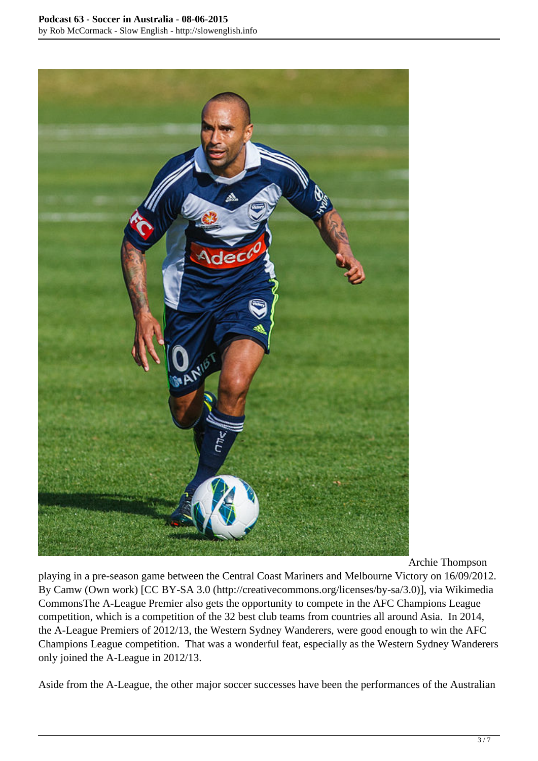

Archie Thompson

playing in a pre-season game between the Central Coast Mariners and Melbourne Victory on 16/09/2012. By Camw (Own work) [CC BY-SA 3.0 (http://creativecommons.org/licenses/by-sa/3.0)], via Wikimedia CommonsThe A-League Premier also gets the opportunity to compete in the AFC Champions League competition, which is a competition of the 32 best club teams from countries all around Asia. In 2014, the A-League Premiers of 2012/13, the Western Sydney Wanderers, were good enough to win the AFC Champions League competition. That was a wonderful feat, especially as the Western Sydney Wanderers only joined the A-League in 2012/13.

Aside from the A-League, the other major soccer successes have been the performances of the Australian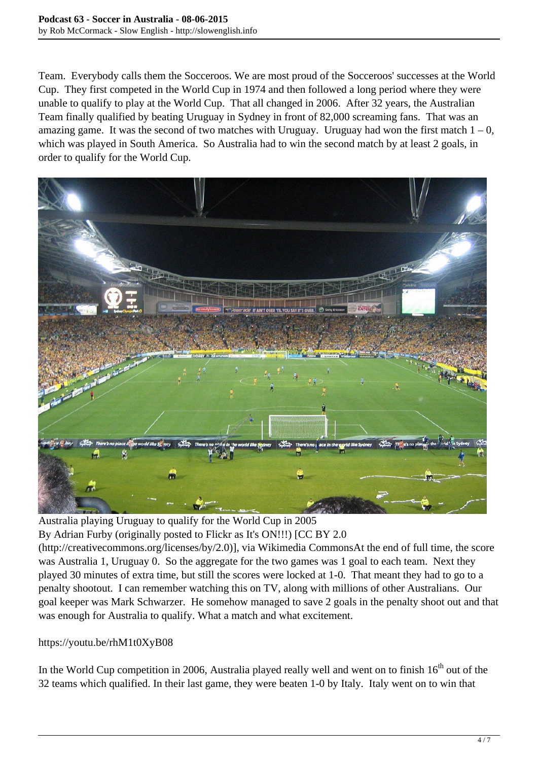Team. Everybody calls them the Socceroos. We are most proud of the Socceroos' successes at the World Cup. They first competed in the World Cup in 1974 and then followed a long period where they were unable to qualify to play at the World Cup. That all changed in 2006. After 32 years, the Australian Team finally qualified by beating Uruguay in Sydney in front of 82,000 screaming fans. That was an amazing game. It was the second of two matches with Uruguay. Uruguay had won the first match  $1 - 0$ , which was played in South America. So Australia had to win the second match by at least 2 goals, in order to qualify for the World Cup.



Australia playing Uruguay to qualify for the World Cup in 2005

By Adrian Furby (originally posted to Flickr as It's ON!!!) [CC BY 2.0

(http://creativecommons.org/licenses/by/2.0)], via Wikimedia CommonsAt the end of full time, the score was Australia 1, Uruguay 0. So the aggregate for the two games was 1 goal to each team. Next they played 30 minutes of extra time, but still the scores were locked at 1-0. That meant they had to go to a penalty shootout. I can remember watching this on TV, along with millions of other Australians. Our goal keeper was Mark Schwarzer. He somehow managed to save 2 goals in the penalty shoot out and that was enough for Australia to qualify. What a match and what excitement.

## https://youtu.be/rhM1t0XyB08

In the World Cup competition in 2006, Australia played really well and went on to finish  $16<sup>th</sup>$  out of the 32 teams which qualified. In their last game, they were beaten 1-0 by Italy. Italy went on to win that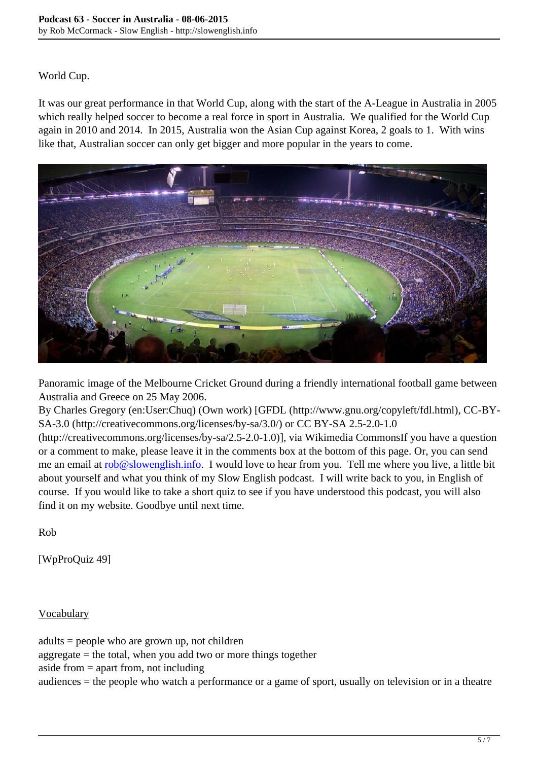# World Cup.

It was our great performance in that World Cup, along with the start of the A-League in Australia in 2005 which really helped soccer to become a real force in sport in Australia. We qualified for the World Cup again in 2010 and 2014. In 2015, Australia won the Asian Cup against Korea, 2 goals to 1. With wins like that, Australian soccer can only get bigger and more popular in the years to come.



Panoramic image of the Melbourne Cricket Ground during a friendly international football game between Australia and Greece on 25 May 2006.

By Charles Gregory (en:User:Chuq) (Own work) [GFDL (http://www.gnu.org/copyleft/fdl.html), CC-BY-SA-3.0 (http://creativecommons.org/licenses/by-sa/3.0/) or CC BY-SA 2.5-2.0-1.0

(http://creativecommons.org/licenses/by-sa/2.5-2.0-1.0)], via Wikimedia CommonsIf you have a question or a comment to make, please leave it in the comments box at the bottom of this page. Or, you can send me an email at [rob@slowenglish.info.](mailto:rob@slowenglish.info) I would love to hear from you. Tell me where you live, a little bit about yourself and what you think of my Slow English podcast. I will write back to you, in English of course. If you would like to take a short quiz to see if you have understood this podcast, you will also find it on my website. Goodbye until next time.

Rob

[WpProQuiz 49]

**Vocabulary** 

adults = people who are grown up, not children  $aggregate = the total$ , when you add two or more things together aside from  $=$  apart from, not including audiences = the people who watch a performance or a game of sport, usually on television or in a theatre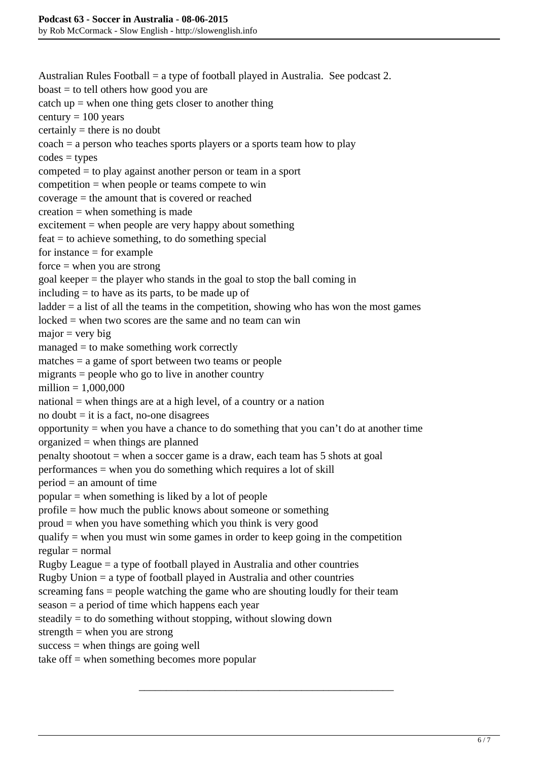Australian Rules Football = a type of football played in Australia. See podcast 2. boast = to tell others how good you are catch up  $=$  when one thing gets closer to another thing century  $= 100$  years certainly = there is no doubt  $\text{coach} = a \text{ person who teaches sports players or a sports team how to play}$  $codes = types$ competed = to play against another person or team in a sport competition = when people or teams compete to win coverage = the amount that is covered or reached  $c$ reation = when something is made excitement  $=$  when people are very happy about something  $feat = to$  achieve something, to do something special for instance  $=$  for example  $force = when you are strong$ goal keeper = the player who stands in the goal to stop the ball coming in including = to have as its parts, to be made up of ladder = a list of all the teams in the competition, showing who has won the most games locked = when two scores are the same and no team can win  $major = very big$ managed = to make something work correctly matches = a game of sport between two teams or people migrants = people who go to live in another country million = 1,000,000 national = when things are at a high level, of a country or a nation no doubt  $=$  it is a fact, no-one disagrees opportunity = when you have a chance to do something that you can't do at another time organized  $=$  when things are planned penalty shootout  $=$  when a soccer game is a draw, each team has  $5$  shots at goal performances = when you do something which requires a lot of skill  $period = an amount of time$ popular = when something is liked by a lot of people profile = how much the public knows about someone or something proud = when you have something which you think is very good qualify  $=$  when you must win some games in order to keep going in the competition  $regular = normal$ Rugby League = a type of football played in Australia and other countries Rugby Union = a type of football played in Australia and other countries screaming fans = people watching the game who are shouting loudly for their team season = a period of time which happens each year steadily = to do something without stopping, without slowing down strength  $=$  when you are strong  $success = when things are going well$ take of  $f =$  when something becomes more popular

\_\_\_\_\_\_\_\_\_\_\_\_\_\_\_\_\_\_\_\_\_\_\_\_\_\_\_\_\_\_\_\_\_\_\_\_\_\_\_\_\_\_\_\_\_\_\_